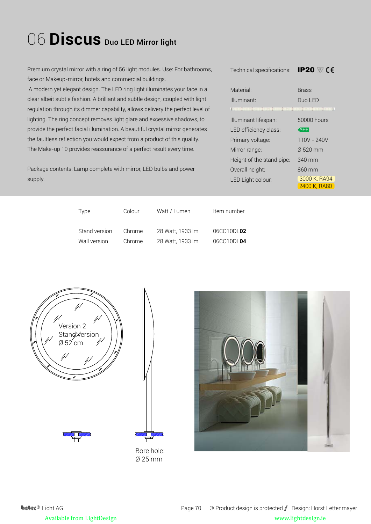## 06 **Discus** Duo LED Mirror light

Premium crystal mirror with a ring of 56 light modules. Use: For bathrooms, face or Makeup-mirror, hotels and commercial buildings.

 A modern yet elegant design. The LED ring light illuminates your face in a clear albeit subtle fashion. A brilliant and subtle design, coupled with light regulation through its dimmer capability, allows delivery the perfect level of lighting. The ring concept removes light glare and excessive shadows, to provide the perfect facial illumination. A beautiful crystal mirror generates the faultless reflection you would expect from a product of this quality. The Make-up 10 provides reassurance of a perfect result every time.

Package contents: Lamp complete with mirror, LED bulbs and power supply.

| Material <sup>.</sup>                                                    | <b>Brass</b>     |  |
|--------------------------------------------------------------------------|------------------|--|
| Illuminant <sup>.</sup>                                                  | Duo I FD         |  |
| ACCESS CREATED FOR 2013 FOR EXPERIMENTAL PRODUCTION OF THE REPORTED HERE |                  |  |
| Illuminant lifespan:                                                     | 50000 hours      |  |
| LED efficiency class:                                                    | $A++$            |  |
| Primary voltage:                                                         | 110V - 240V      |  |
| Mirror range:                                                            | $0.520$ mm       |  |
| Height of the stand pipe:                                                | $340 \text{ mm}$ |  |
| Overall height:                                                          | $860$ mm         |  |
| LED Light colour:                                                        | 3000 K, RA94     |  |
|                                                                          | 2400 K. RA80     |  |

Technical specifications: IP20

| Type          | Colour | Watt / Lumen     | Item number |
|---------------|--------|------------------|-------------|
| Stand version | Chrome | 28 Watt, 1933 lm | 06CO10DL02  |
| Wall version  | Chrome | 28 Watt, 1933 lm | 06CO10DL04  |





Bore hole: Ø 25 mm